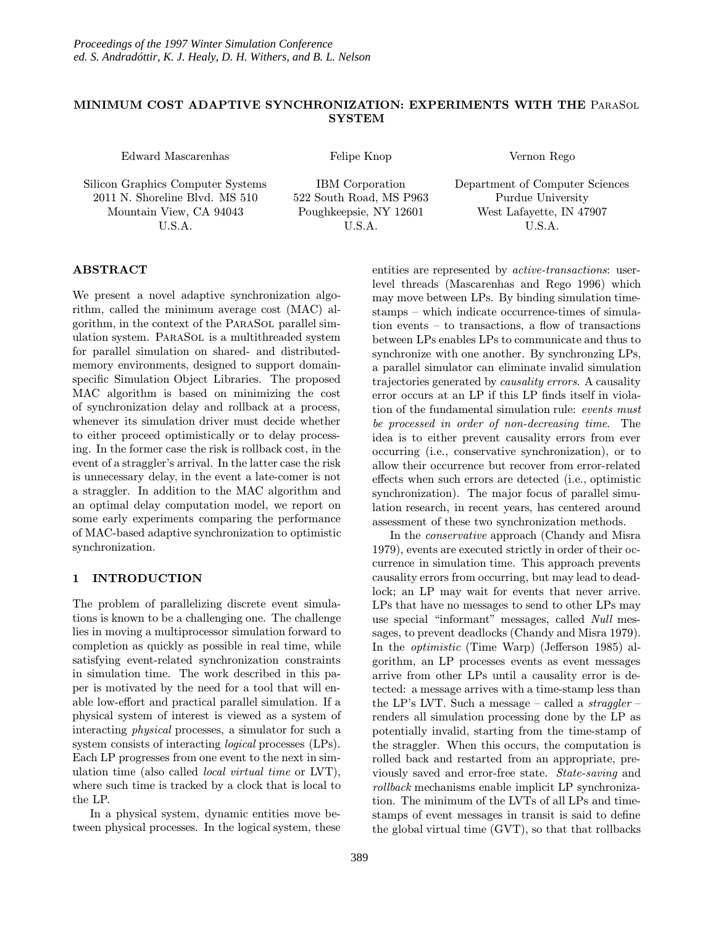# MINIMUM COST ADAPTIVE SYNCHRONIZATION: EXPERIMENTS WITH THE ParaSol **SYSTEM**

Edward Mascarenhas

Silicon Graphics Computer Systems 2011 N. Shoreline Blvd. MS 510 Mountain View, CA 94043 U.S.A.

Felipe Knop

Vernon Rego

IBM Corporation 522 South Road, MS P963 Poughkeepsie, NY 12601 U.S.A.

Department of Computer Sciences Purdue University West Lafayette, IN 47907 U.S.A.

# ABSTRACT

We present a novel adaptive synchronization algorithm, called the minimum average cost (MAC) algorithm, in the context of the ParaSol parallel simulation system. ParaSol is a multithreaded system for parallel simulation on shared- and distributedmemory environments, designed to support domainspecific Simulation Object Libraries. The proposed MAC algorithm is based on minimizing the cost of synchronization delay and rollback at a process, whenever its simulation driver must decide whether to either proceed optimistically or to delay processing. In the former case the risk is rollback cost, in the event of a straggler's arrival. In the latter case the risk is unnecessary delay, in the event a late-comer is not a straggler. In addition to the MAC algorithm and an optimal delay computation model, we report on some early experiments comparing the performance of MAC-based adaptive synchronization to optimistic synchronization.

# 1 INTRODUCTION

The problem of parallelizing discrete event simulations is known to be a challenging one. The challenge lies in moving a multiprocessor simulation forward to completion as quickly as possible in real time, while satisfying event-related synchronization constraints in simulation time. The work described in this paper is motivated by the need for a tool that will enable low-effort and practical parallel simulation. If a physical system of interest is viewed as a system of interacting physical processes, a simulator for such a system consists of interacting logical processes (LPs). Each LP progresses from one event to the next in simulation time (also called local virtual time or LVT), where such time is tracked by a clock that is local to the LP.

In a physical system, dynamic entities move between physical processes. In the logical system, these entities are represented by active-transactions: userlevel threads (Mascarenhas and Rego 1996) which may move between LPs. By binding simulation timestamps – which indicate occurrence-times of simulation events – to transactions, a flow of transactions between LPs enables LPs to communicate and thus to synchronize with one another. By synchronzing LPs, a parallel simulator can eliminate invalid simulation trajectories generated by causality errors. A causality error occurs at an LP if this LP finds itself in violation of the fundamental simulation rule: events must be processed in order of non-decreasing time. The idea is to either prevent causality errors from ever occurring (i.e., conservative synchronization), or to allow their occurrence but recover from error-related effects when such errors are detected (i.e., optimistic synchronization). The major focus of parallel simulation research, in recent years, has centered around assessment of these two synchronization methods.

In the conservative approach (Chandy and Misra 1979), events are executed strictly in order of their occurrence in simulation time. This approach prevents causality errors from occurring, but may lead to deadlock; an LP may wait for events that never arrive. LPs that have no messages to send to other LPs may use special "informant" messages, called Null messages, to prevent deadlocks (Chandy and Misra 1979). In the optimistic (Time Warp) (Jefferson 1985) algorithm, an LP processes events as event messages arrive from other LPs until a causality error is detected: a message arrives with a time-stamp less than the LP's LVT. Such a message – called a *straggler* – renders all simulation processing done by the LP as potentially invalid, starting from the time-stamp of the straggler. When this occurs, the computation is rolled back and restarted from an appropriate, previously saved and error-free state. State-saving and rollback mechanisms enable implicit LP synchronization. The minimum of the LVTs of all LPs and timestamps of event messages in transit is said to define the global virtual time (GVT), so that that rollbacks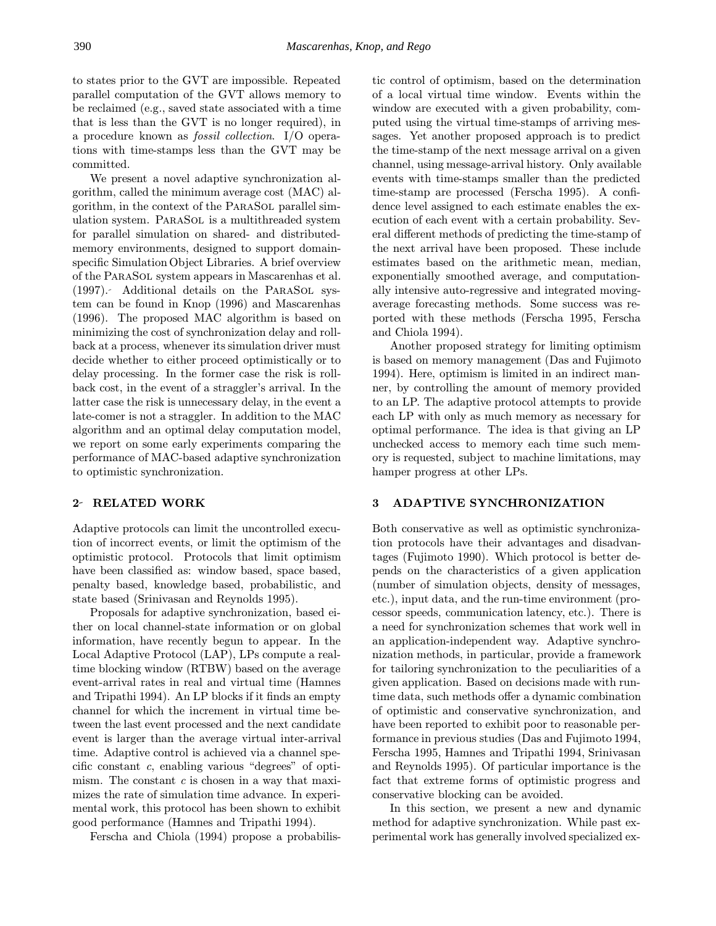to states prior to the GVT are impossible. Repeated parallel computation of the GVT allows memory to be reclaimed (e.g., saved state associated with a time that is less than the GVT is no longer required), in a procedure known as fossil collection. I/O operations with time-stamps less than the GVT may be committed.

We present a novel adaptive synchronization algorithm, called the minimum average cost (MAC) algorithm, in the context of the ParaSol parallel simulation system. ParaSol is a multithreaded system for parallel simulation on shared- and distributedmemory environments, designed to support domainspecific Simulation Object Libraries. A brief overview of the ParaSol system appears in Mascarenhas et al. (1997). Additional details on the ParaSol system can be found in Knop (1996) and Mascarenhas (1996). The proposed MAC algorithm is based on minimizing the cost of synchronization delay and rollback at a process, whenever its simulation driver must decide whether to either proceed optimistically or to delay processing. In the former case the risk is rollback cost, in the event of a straggler's arrival. In the latter case the risk is unnecessary delay, in the event a late-comer is not a straggler. In addition to the MAC algorithm and an optimal delay computation model, we report on some early experiments comparing the performance of MAC-based adaptive synchronization to optimistic synchronization.

#### 2 RELATED WORK

Adaptive protocols can limit the uncontrolled execution of incorrect events, or limit the optimism of the optimistic protocol. Protocols that limit optimism have been classified as: window based, space based, penalty based, knowledge based, probabilistic, and state based (Srinivasan and Reynolds 1995).

Proposals for adaptive synchronization, based either on local channel-state information or on global information, have recently begun to appear. In the Local Adaptive Protocol (LAP), LPs compute a realtime blocking window (RTBW) based on the average event-arrival rates in real and virtual time (Hamnes and Tripathi 1994). An LP blocks if it finds an empty channel for which the increment in virtual time between the last event processed and the next candidate event is larger than the average virtual inter-arrival time. Adaptive control is achieved via a channel specific constant c, enabling various "degrees" of optimism. The constant  $c$  is chosen in a way that maximizes the rate of simulation time advance. In experimental work, this protocol has been shown to exhibit good performance (Hamnes and Tripathi 1994).

Ferscha and Chiola (1994) propose a probabilis-

tic control of optimism, based on the determination of a local virtual time window. Events within the window are executed with a given probability, computed using the virtual time-stamps of arriving messages. Yet another proposed approach is to predict the time-stamp of the next message arrival on a given channel, using message-arrival history. Only available events with time-stamps smaller than the predicted time-stamp are processed (Ferscha 1995). A confidence level assigned to each estimate enables the execution of each event with a certain probability. Several different methods of predicting the time-stamp of the next arrival have been proposed. These include estimates based on the arithmetic mean, median, exponentially smoothed average, and computationally intensive auto-regressive and integrated movingaverage forecasting methods. Some success was reported with these methods (Ferscha 1995, Ferscha and Chiola 1994).

Another proposed strategy for limiting optimism is based on memory management (Das and Fujimoto 1994). Here, optimism is limited in an indirect manner, by controlling the amount of memory provided to an LP. The adaptive protocol attempts to provide each LP with only as much memory as necessary for optimal performance. The idea is that giving an LP unchecked access to memory each time such memory is requested, subject to machine limitations, may hamper progress at other LPs.

### 3 ADAPTIVE SYNCHRONIZATION

Both conservative as well as optimistic synchronization protocols have their advantages and disadvantages (Fujimoto 1990). Which protocol is better depends on the characteristics of a given application (number of simulation objects, density of messages, etc.), input data, and the run-time environment (processor speeds, communication latency, etc.). There is a need for synchronization schemes that work well in an application-independent way. Adaptive synchronization methods, in particular, provide a framework for tailoring synchronization to the peculiarities of a given application. Based on decisions made with runtime data, such methods offer a dynamic combination of optimistic and conservative synchronization, and have been reported to exhibit poor to reasonable performance in previous studies (Das and Fujimoto 1994, Ferscha 1995, Hamnes and Tripathi 1994, Srinivasan and Reynolds 1995). Of particular importance is the fact that extreme forms of optimistic progress and conservative blocking can be avoided.

In this section, we present a new and dynamic method for adaptive synchronization. While past experimental work has generally involved specialized ex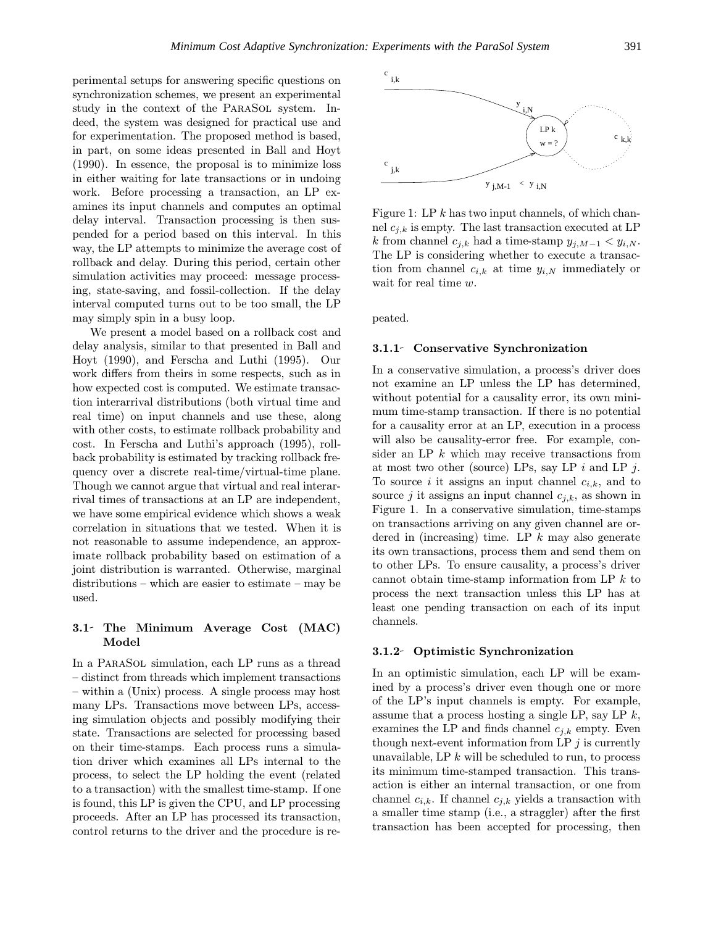perimental setups for answering specific questions on synchronization schemes, we present an experimental study in the context of the ParaSol system. Indeed, the system was designed for practical use and for experimentation. The proposed method is based, in part, on some ideas presented in Ball and Hoyt (1990). In essence, the proposal is to minimize loss in either waiting for late transactions or in undoing work. Before processing a transaction, an LP examines its input channels and computes an optimal delay interval. Transaction processing is then suspended for a period based on this interval. In this way, the LP attempts to minimize the average cost of rollback and delay. During this period, certain other simulation activities may proceed: message processing, state-saving, and fossil-collection. If the delay interval computed turns out to be too small, the LP may simply spin in a busy loop.

We present a model based on a rollback cost and delay analysis, similar to that presented in Ball and Hoyt (1990), and Ferscha and Luthi (1995). Our work differs from theirs in some respects, such as in how expected cost is computed. We estimate transaction interarrival distributions (both virtual time and real time) on input channels and use these, along with other costs, to estimate rollback probability and cost. In Ferscha and Luthi's approach (1995), rollback probability is estimated by tracking rollback frequency over a discrete real-time/virtual-time plane. Though we cannot argue that virtual and real interarrival times of transactions at an LP are independent, we have some empirical evidence which shows a weak correlation in situations that we tested. When it is not reasonable to assume independence, an approximate rollback probability based on estimation of a joint distribution is warranted. Otherwise, marginal distributions – which are easier to estimate – may be used.

# 3.1 The Minimum Average Cost (MAC) Model

In a ParaSol simulation, each LP runs as a thread – distinct from threads which implement transactions – within a (Unix) process. A single process may host many LPs. Transactions move between LPs, accessing simulation objects and possibly modifying their state. Transactions are selected for processing based on their time-stamps. Each process runs a simulation driver which examines all LPs internal to the process, to select the LP holding the event (related to a transaction) with the smallest time-stamp. If one is found, this LP is given the CPU, and LP processing proceeds. After an LP has processed its transaction, control returns to the driver and the procedure is re-



Figure 1: LP  $k$  has two input channels, of which channel  $c_{i,k}$  is empty. The last transaction executed at LP k from channel  $c_{j,k}$  had a time-stamp  $y_{j,M-1} < y_{i,N}$ . The LP is considering whether to execute a transaction from channel  $c_{i,k}$  at time  $y_{i,N}$  immediately or wait for real time w.

peated.

#### 3.1.1 Conservative Synchronization

In a conservative simulation, a process's driver does not examine an LP unless the LP has determined, without potential for a causality error, its own minimum time-stamp transaction. If there is no potential for a causality error at an LP, execution in a process will also be causality-error free. For example, consider an LP  $k$  which may receive transactions from at most two other (source) LPs, say LP  $i$  and LP  $j$ . To source i it assigns an input channel  $c_{i,k}$ , and to source j it assigns an input channel  $c_{i,k}$ , as shown in Figure 1. In a conservative simulation, time-stamps on transactions arriving on any given channel are ordered in (increasing) time. LP  $k$  may also generate its own transactions, process them and send them on to other LPs. To ensure causality, a process's driver cannot obtain time-stamp information from LP  $k$  to process the next transaction unless this LP has at least one pending transaction on each of its input channels.

#### 3.1.2 Optimistic Synchronization

In an optimistic simulation, each LP will be examined by a process's driver even though one or more of the LP's input channels is empty. For example, assume that a process hosting a single LP, say LP  $k$ , examines the LP and finds channel  $c_{i,k}$  empty. Even though next-event information from LP  $j$  is currently unavailable,  $\text{LP } k$  will be scheduled to run, to process its minimum time-stamped transaction. This transaction is either an internal transaction, or one from channel  $c_{i,k}$ . If channel  $c_{i,k}$  yields a transaction with a smaller time stamp (i.e., a straggler) after the first transaction has been accepted for processing, then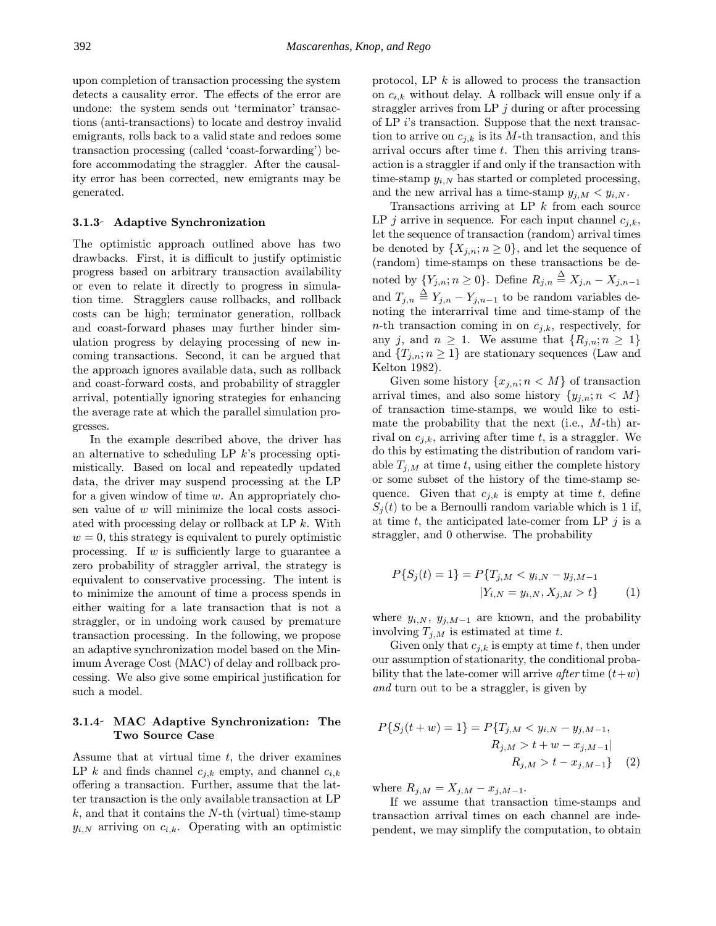upon completion of transaction processing the system detects a causality error. The effects of the error are undone: the system sends out 'terminator' transactions (anti-transactions) to locate and destroy invalid emigrants, rolls back to a valid state and redoes some transaction processing (called 'coast-forwarding') before accommodating the straggler. After the causality error has been corrected, new emigrants may be generated.

### 3.1.3 Adaptive Synchronization

The optimistic approach outlined above has two drawbacks. First, it is difficult to justify optimistic progress based on arbitrary transaction availability or even to relate it directly to progress in simulation time. Stragglers cause rollbacks, and rollback costs can be high; terminator generation, rollback and coast-forward phases may further hinder simulation progress by delaying processing of new incoming transactions. Second, it can be argued that the approach ignores available data, such as rollback and coast-forward costs, and probability of straggler arrival, potentially ignoring strategies for enhancing the average rate at which the parallel simulation progresses.

In the example described above, the driver has an alternative to scheduling LP  $k$ 's processing optimistically. Based on local and repeatedly updated data, the driver may suspend processing at the LP for a given window of time  $w$ . An appropriately chosen value of  $w$  will minimize the local costs associated with processing delay or rollback at LP k. With  $w = 0$ , this strategy is equivalent to purely optimistic processing. If  $w$  is sufficiently large to guarantee a zero probability of straggler arrival, the strategy is equivalent to conservative processing. The intent is to minimize the amount of time a process spends in either waiting for a late transaction that is not a straggler, or in undoing work caused by premature transaction processing. In the following, we propose an adaptive synchronization model based on the Minimum Average Cost (MAC) of delay and rollback processing. We also give some empirical justification for such a model.

# 3.1.4 MAC Adaptive Synchronization: The Two Source Case

Assume that at virtual time  $t$ , the driver examines LP k and finds channel  $c_{j,k}$  empty, and channel  $c_{i,k}$ offering a transaction. Further, assume that the latter transaction is the only available transaction at LP  $k$ , and that it contains the N-th (virtual) time-stamp  $y_{i,N}$  arriving on  $c_{i,k}$ . Operating with an optimistic protocol, LP  $k$  is allowed to process the transaction on  $c_{i,k}$  without delay. A rollback will ensue only if a straggler arrives from LP  $j$  during or after processing of LP i's transaction. Suppose that the next transaction to arrive on  $c_{i,k}$  is its M-th transaction, and this arrival occurs after time  $t$ . Then this arriving transaction is a straggler if and only if the transaction with time-stamp  $y_{i,N}$  has started or completed processing, and the new arrival has a time-stamp  $y_{j,M} < y_{i,N}$ .

Transactions arriving at LP  $k$  from each source LP *j* arrive in sequence. For each input channel  $c_{i,k}$ , let the sequence of transaction (random) arrival times be denoted by  $\{X_{i,n}; n \geq 0\}$ , and let the sequence of (random) time-stamps on these transactions be denoted by  $\{Y_{j,n}; n \geq 0\}$ . Define  $R_{j,n} \stackrel{\Delta}{=} X_{j,n} - X_{j,n-1}$ and  $T_{j,n} \triangleq Y_{j,n} - Y_{j,n-1}$  to be random variables denoting the interarrival time and time-stamp of the  $n$ -th transaction coming in on  $c_{j,k}$ , respectively, for any j, and  $n \geq 1$ . We assume that  $\{R_{j,n}; n \geq 1\}$ and  $\{T_{j,n}; n \geq 1\}$  are stationary sequences (Law and Kelton 1982).

Given some history  $\{x_{j,n}; n \lt M\}$  of transaction arrival times, and also some history  $\{y_{j,n}; n \lt M\}$ of transaction time-stamps, we would like to estimate the probability that the next (i.e.,  $M$ -th) arrival on  $c_{i,k}$ , arriving after time t, is a straggler. We do this by estimating the distribution of random variable  $T_{j,M}$  at time t, using either the complete history or some subset of the history of the time-stamp sequence. Given that  $c_{j,k}$  is empty at time t, define  $S_i(t)$  to be a Bernoulli random variable which is 1 if, at time t, the anticipated late-comer from LP  $j$  is a straggler, and 0 otherwise. The probability

$$
P\{S_j(t) = 1\} = P\{T_{j,M} < y_{i,N} - y_{j,M-1} \mid Y_{i,N} = y_{i,N}, X_{j,M} > t\} \tag{1}
$$

where  $y_{i,N}$ ,  $y_{j,M-1}$  are known, and the probability involving  $T_{i,M}$  is estimated at time t.

Given only that  $c_{i,k}$  is empty at time t, then under our assumption of stationarity, the conditional probability that the late-comer will arrive *after* time  $(t+w)$ and turn out to be a straggler, is given by

$$
P\{S_j(t+w) = 1\} = P\{T_{j,M} < y_{i,N} - y_{j,M-1},
$$
\n
$$
R_{j,M} > t+w - x_{j,M-1} \mid
$$
\n
$$
R_{j,M} > t - x_{j,M-1}\} \tag{2}
$$

where  $R_{j,M} = X_{j,M} - x_{j,M-1}$ .

If we assume that transaction time-stamps and transaction arrival times on each channel are independent, we may simplify the computation, to obtain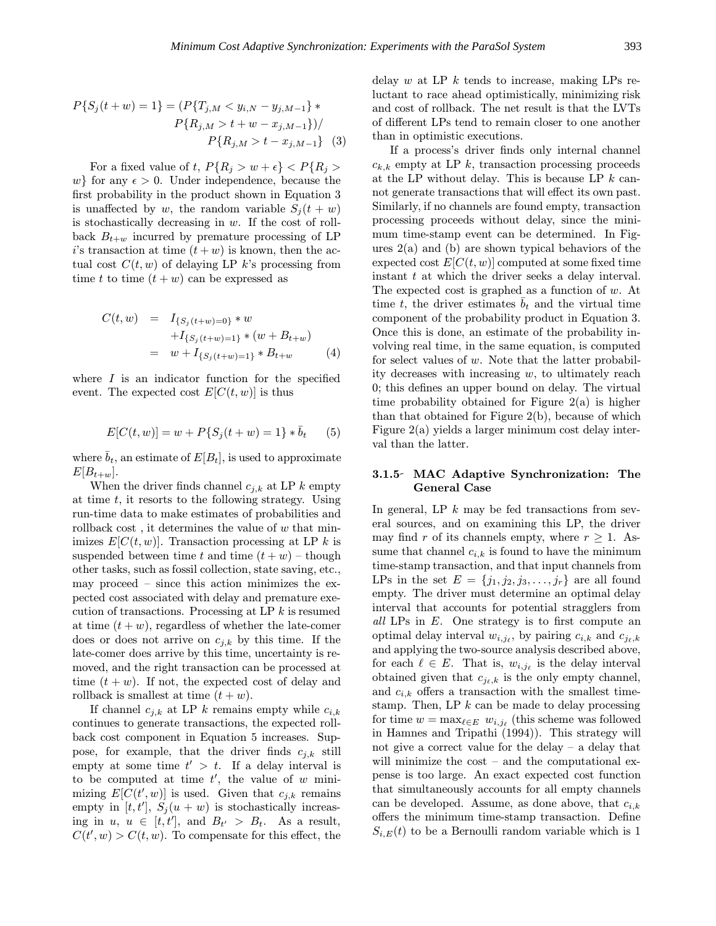$$
P\{S_j(t+w) = 1\} = (P\{T_{j,M} < y_{i,N} - y_{j,M-1}\} * P\{R_{j,M} > t+w - x_{j,M-1}\})/ P\{R_{j,M} > t - x_{j,M-1}\} \quad (3)
$$

For a fixed value of t,  $P\{R_j > w + \epsilon\} < P\{R_j > \epsilon\}$ w} for any  $\epsilon > 0$ . Under independence, because the first probability in the product shown in Equation 3 is unaffected by w, the random variable  $S_i(t + w)$ is stochastically decreasing in  $w$ . If the cost of rollback  $B_{t+w}$  incurred by premature processing of LP i's transaction at time  $(t + w)$  is known, then the actual cost  $C(t, w)$  of delaying LP k's processing from time t to time  $(t + w)$  can be expressed as

$$
C(t, w) = I_{\{S_j(t+w)=0\}} * w
$$
  
+
$$
I_{\{S_j(t+w)=1\}} * (w + B_{t+w})
$$
  
= 
$$
w + I_{\{S_j(t+w)=1\}} * B_{t+w}
$$
 (4)

where  $I$  is an indicator function for the specified event. The expected cost  $E[C(t, w)]$  is thus

$$
E[C(t, w)] = w + P\{S_j(t + w) = 1\} * \bar{b}_t \qquad (5)
$$

where  $\bar{b}_t$ , an estimate of  $E[B_t]$ , is used to approximate  $E[B_{t+w}].$ 

When the driver finds channel  $c_{j,k}$  at LP k empty at time  $t$ , it resorts to the following strategy. Using run-time data to make estimates of probabilities and rollback cost, it determines the value of  $w$  that minimizes  $E[C(t, w)]$ . Transaction processing at LP k is suspended between time t and time  $(t + w)$  – though other tasks, such as fossil collection, state saving, etc., may proceed – since this action minimizes the expected cost associated with delay and premature execution of transactions. Processing at LP  $k$  is resumed at time  $(t + w)$ , regardless of whether the late-comer does or does not arrive on  $c_{j,k}$  by this time. If the late-comer does arrive by this time, uncertainty is removed, and the right transaction can be processed at time  $(t + w)$ . If not, the expected cost of delay and rollback is smallest at time  $(t + w)$ .

If channel  $c_{i,k}$  at LP k remains empty while  $c_{i,k}$ continues to generate transactions, the expected rollback cost component in Equation 5 increases. Suppose, for example, that the driver finds  $c_{j,k}$  still empty at some time  $t' > t$ . If a delay interval is to be computed at time  $t'$ , the value of w minimizing  $E[C(t', w)]$  is used. Given that  $c_{j,k}$  remains empty in [t, t'],  $S_j(u + w)$  is stochastically increasing in  $u, u \in [t, t']$ , and  $B_{t'} > B_t$ . As a result,  $C(t', w) > C(t, w)$ . To compensate for this effect, the delay w at LP  $k$  tends to increase, making LPs reluctant to race ahead optimistically, minimizing risk and cost of rollback. The net result is that the LVTs of different LPs tend to remain closer to one another than in optimistic executions.

If a process's driver finds only internal channel  $c_{k,k}$  empty at LP k, transaction processing proceeds at the LP without delay. This is because LP  $k$  cannot generate transactions that will effect its own past. Similarly, if no channels are found empty, transaction processing proceeds without delay, since the minimum time-stamp event can be determined. In Figures  $2(a)$  and (b) are shown typical behaviors of the expected cost  $E[C(t, w)]$  computed at some fixed time instant  $t$  at which the driver seeks a delay interval. The expected cost is graphed as a function of  $w$ . At time t, the driver estimates  $\bar{b}_t$  and the virtual time component of the probability product in Equation 3. Once this is done, an estimate of the probability involving real time, in the same equation, is computed for select values of  $w$ . Note that the latter probability decreases with increasing  $w$ , to ultimately reach 0; this defines an upper bound on delay. The virtual time probability obtained for Figure  $2(a)$  is higher than that obtained for Figure 2(b), because of which Figure 2(a) yields a larger minimum cost delay interval than the latter.

## 3.1.5 MAC Adaptive Synchronization: The General Case

In general, LP  $k$  may be fed transactions from several sources, and on examining this LP, the driver may find r of its channels empty, where  $r \geq 1$ . Assume that channel  $c_{i,k}$  is found to have the minimum time-stamp transaction, and that input channels from LPs in the set  $E = \{j_1, j_2, j_3, \ldots, j_r\}$  are all found empty. The driver must determine an optimal delay interval that accounts for potential stragglers from all LPs in E. One strategy is to first compute an optimal delay interval  $w_{i,j_\ell}$ , by pairing  $c_{i,k}$  and  $c_{j_\ell,k}$ and applying the two-source analysis described above, for each  $\ell \in E$ . That is,  $w_{i,j_\ell}$  is the delay interval obtained given that  $c_{j_\ell,k}$  is the only empty channel, and  $c_{i,k}$  offers a transaction with the smallest timestamp. Then, LP  $k$  can be made to delay processing for time  $w = \max_{\ell \in E} w_{i,j_\ell}$  (this scheme was followed in Hamnes and Tripathi (1994)). This strategy will not give a correct value for the delay – a delay that will minimize the cost – and the computational expense is too large. An exact expected cost function that simultaneously accounts for all empty channels can be developed. Assume, as done above, that  $c_{i,k}$ offers the minimum time-stamp transaction. Define  $S_{i,E}(t)$  to be a Bernoulli random variable which is 1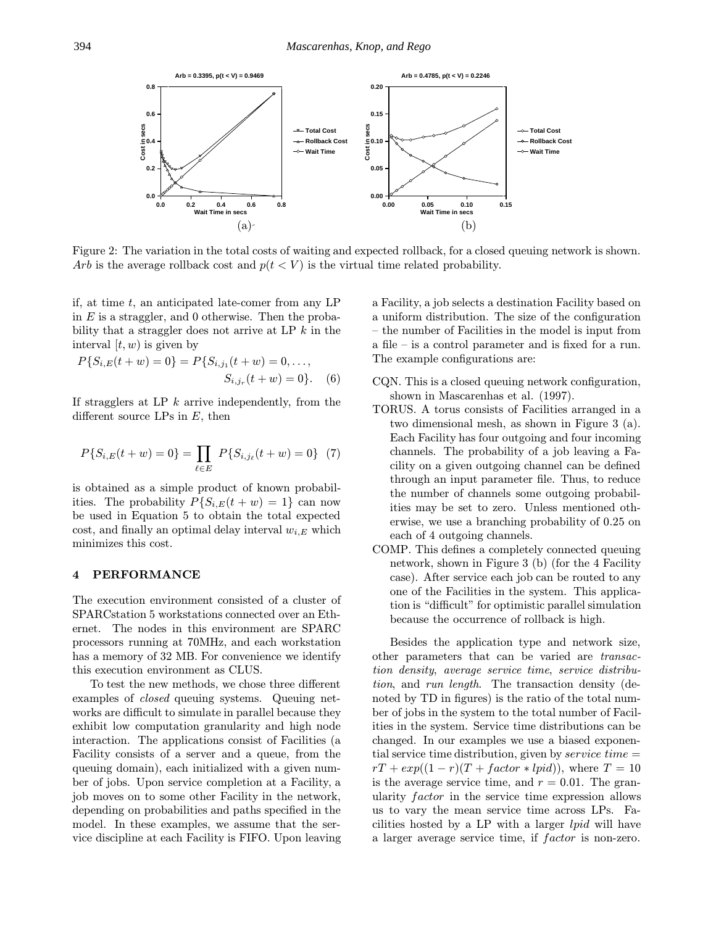

Figure 2: The variation in the total costs of waiting and expected rollback, for a closed queuing network is shown. Arb is the average rollback cost and  $p(t \leq V)$  is the virtual time related probability.

if, at time  $t$ , an anticipated late-comer from any LP in  $E$  is a straggler, and 0 otherwise. Then the probability that a straggler does not arrive at LP  $k$  in the interval  $[t, w)$  is given by

$$
P\{S_{i,E}(t+w) = 0\} = P\{S_{i,j_1}(t+w) = 0,\ldots,\\ S_{i,j_r}(t+w) = 0\}.
$$
 (6)

If stragglers at LP  $k$  arrive independently, from the different source LPs in  $E$ , then

$$
P\{S_{i,E}(t+w) = 0\} = \prod_{\ell \in E} P\{S_{i,j_\ell}(t+w) = 0\} \tag{7}
$$

is obtained as a simple product of known probabilities. The probability  $P\{S_{i,E}(t+w)=1\}$  can now be used in Equation 5 to obtain the total expected cost, and finally an optimal delay interval  $w_{i,E}$  which minimizes this cost.

#### 4 PERFORMANCE

The execution environment consisted of a cluster of SPARCstation 5 workstations connected over an Ethernet. The nodes in this environment are SPARC processors running at 70MHz, and each workstation has a memory of 32 MB. For convenience we identify this execution environment as CLUS.

To test the new methods, we chose three different examples of closed queuing systems. Queuing networks are difficult to simulate in parallel because they exhibit low computation granularity and high node interaction. The applications consist of Facilities (a Facility consists of a server and a queue, from the queuing domain), each initialized with a given number of jobs. Upon service completion at a Facility, a job moves on to some other Facility in the network, depending on probabilities and paths specified in the model. In these examples, we assume that the service discipline at each Facility is FIFO. Upon leaving a Facility, a job selects a destination Facility based on a uniform distribution. The size of the configuration – the number of Facilities in the model is input from a file – is a control parameter and is fixed for a run. The example configurations are:

- CQN. This is a closed queuing network configuration, shown in Mascarenhas et al. (1997).
- TORUS. A torus consists of Facilities arranged in a two dimensional mesh, as shown in Figure 3 (a). Each Facility has four outgoing and four incoming channels. The probability of a job leaving a Facility on a given outgoing channel can be defined through an input parameter file. Thus, to reduce the number of channels some outgoing probabilities may be set to zero. Unless mentioned otherwise, we use a branching probability of 0.25 on each of 4 outgoing channels.
- COMP. This defines a completely connected queuing network, shown in Figure 3 (b) (for the 4 Facility case). After service each job can be routed to any one of the Facilities in the system. This application is "difficult" for optimistic parallel simulation because the occurrence of rollback is high.

Besides the application type and network size, other parameters that can be varied are transaction density, average service time, service distribution, and run length. The transaction density (denoted by TD in figures) is the ratio of the total number of jobs in the system to the total number of Facilities in the system. Service time distributions can be changed. In our examples we use a biased exponential service time distribution, given by *service time*  $=$  $rT + exp((1 - r)(T + factor * lpid))$ , where  $T = 10$ is the average service time, and  $r = 0.01$ . The granularity factor in the service time expression allows us to vary the mean service time across LPs. Facilities hosted by a LP with a larger lpid will have a larger average service time, if factor is non-zero.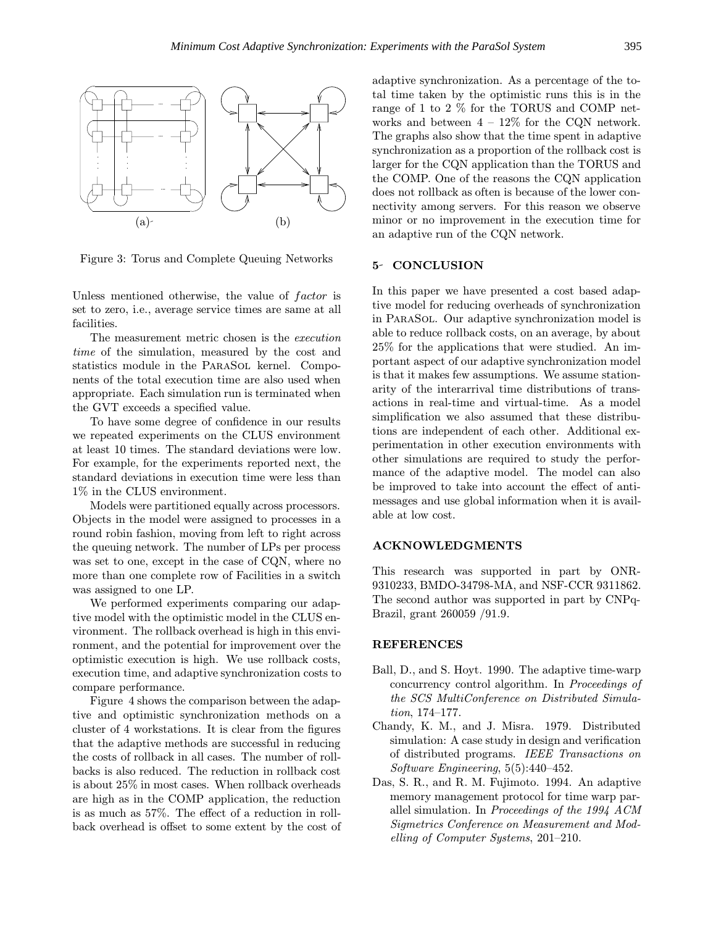

Figure 3: Torus and Complete Queuing Networks

Unless mentioned otherwise, the value of factor is set to zero, i.e., average service times are same at all facilities.

The measurement metric chosen is the execution time of the simulation, measured by the cost and statistics module in the PARASOL kernel. Components of the total execution time are also used when appropriate. Each simulation run is terminated when the GVT exceeds a specified value.

To have some degree of confidence in our results we repeated experiments on the CLUS environment at least 10 times. The standard deviations were low. For example, for the experiments reported next, the standard deviations in execution time were less than 1% in the CLUS environment.

Models were partitioned equally across processors. Objects in the model were assigned to processes in a round robin fashion, moving from left to right across the queuing network. The number of LPs per process was set to one, except in the case of CQN, where no more than one complete row of Facilities in a switch was assigned to one LP.

We performed experiments comparing our adaptive model with the optimistic model in the CLUS environment. The rollback overhead is high in this environment, and the potential for improvement over the optimistic execution is high. We use rollback costs, execution time, and adaptive synchronization costs to compare performance.

Figure 4 shows the comparison between the adaptive and optimistic synchronization methods on a cluster of 4 workstations. It is clear from the figures that the adaptive methods are successful in reducing the costs of rollback in all cases. The number of rollbacks is also reduced. The reduction in rollback cost is about 25% in most cases. When rollback overheads are high as in the COMP application, the reduction is as much as 57%. The effect of a reduction in rollback overhead is offset to some extent by the cost of adaptive synchronization. As a percentage of the total time taken by the optimistic runs this is in the range of 1 to 2 % for the TORUS and COMP networks and between  $4 - 12\%$  for the CQN network. The graphs also show that the time spent in adaptive synchronization as a proportion of the rollback cost is larger for the CQN application than the TORUS and the COMP. One of the reasons the CQN application does not rollback as often is because of the lower connectivity among servers. For this reason we observe minor or no improvement in the execution time for an adaptive run of the CQN network.

#### 5- CONCLUSION

In this paper we have presented a cost based adaptive model for reducing overheads of synchronization in ParaSol. Our adaptive synchronization model is able to reduce rollback costs, on an average, by about 25% for the applications that were studied. An important aspect of our adaptive synchronization model is that it makes few assumptions. We assume stationarity of the interarrival time distributions of transactions in real-time and virtual-time. As a model simplification we also assumed that these distributions are independent of each other. Additional experimentation in other execution environments with other simulations are required to study the performance of the adaptive model. The model can also be improved to take into account the effect of antimessages and use global information when it is available at low cost.

#### ACKNOWLEDGMENTS

This research was supported in part by ONR-9310233, BMDO-34798-MA, and NSF-CCR 9311862. The second author was supported in part by CNPq-Brazil, grant 260059 /91.9.

#### REFERENCES

- Ball, D., and S. Hoyt. 1990. The adaptive time-warp concurrency control algorithm. In Proceedings of the SCS MultiConference on Distributed Simulation, 174–177.
- Chandy, K. M., and J. Misra. 1979. Distributed simulation: A case study in design and verification of distributed programs. IEEE Transactions on Software Engineering, 5(5):440–452.
- Das, S. R., and R. M. Fujimoto. 1994. An adaptive memory management protocol for time warp parallel simulation. In Proceedings of the 1994 ACM Sigmetrics Conference on Measurement and Modelling of Computer Systems, 201–210.